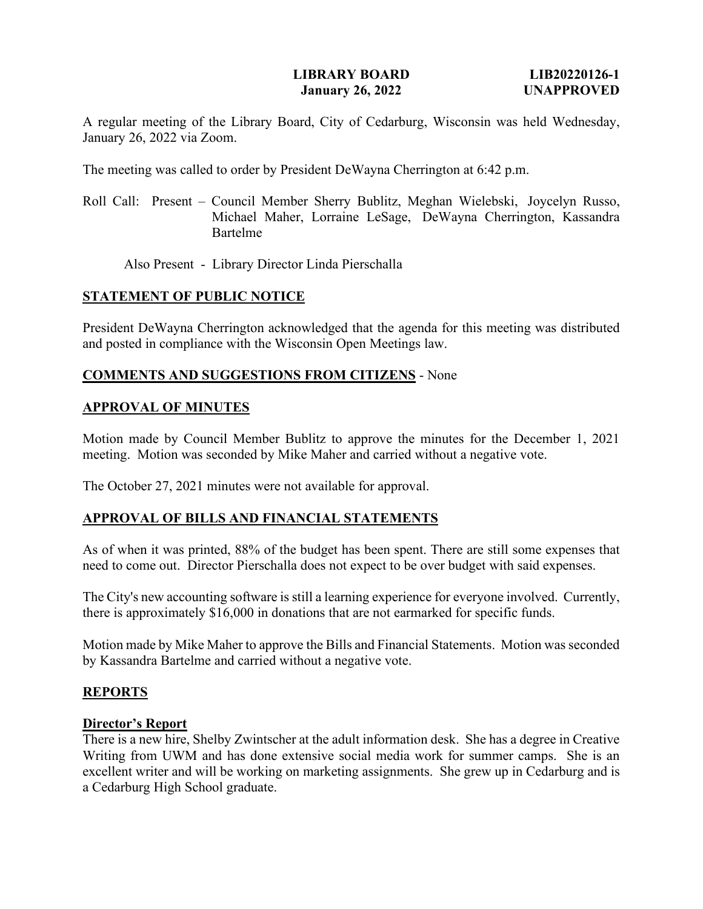A regular meeting of the Library Board, City of Cedarburg, Wisconsin was held Wednesday, January 26, 2022 via Zoom.

The meeting was called to order by President DeWayna Cherrington at 6:42 p.m.

Roll Call: Present – Council Member Sherry Bublitz, Meghan Wielebski, Joycelyn Russo, Michael Maher, Lorraine LeSage, DeWayna Cherrington, Kassandra Bartelme

Also Present - Library Director Linda Pierschalla

### **STATEMENT OF PUBLIC NOTICE**

President DeWayna Cherrington acknowledged that the agenda for this meeting was distributed and posted in compliance with the Wisconsin Open Meetings law.

### **COMMENTS AND SUGGESTIONS FROM CITIZENS** - None

### **APPROVAL OF MINUTES**

Motion made by Council Member Bublitz to approve the minutes for the December 1, 2021 meeting. Motion was seconded by Mike Maher and carried without a negative vote.

The October 27, 2021 minutes were not available for approval.

### **APPROVAL OF BILLS AND FINANCIAL STATEMENTS**

As of when it was printed, 88% of the budget has been spent. There are still some expenses that need to come out. Director Pierschalla does not expect to be over budget with said expenses.

The City's new accounting software is still a learning experience for everyone involved. Currently, there is approximately \$16,000 in donations that are not earmarked for specific funds.

Motion made by Mike Maher to approve the Bills and Financial Statements. Motion was seconded by Kassandra Bartelme and carried without a negative vote.

### **REPORTS**

#### **Director's Report**

There is a new hire, Shelby Zwintscher at the adult information desk. She has a degree in Creative Writing from UWM and has done extensive social media work for summer camps. She is an excellent writer and will be working on marketing assignments. She grew up in Cedarburg and is a Cedarburg High School graduate.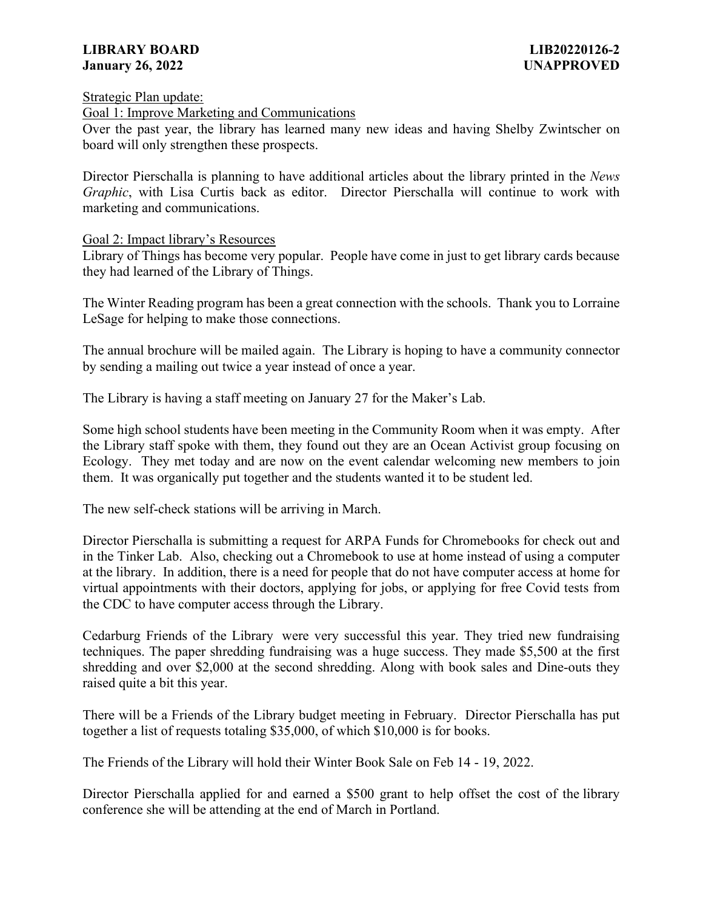Strategic Plan update:

#### Goal 1: Improve Marketing and Communications

Over the past year, the library has learned many new ideas and having Shelby Zwintscher on board will only strengthen these prospects.

Director Pierschalla is planning to have additional articles about the library printed in the *News Graphic*, with Lisa Curtis back as editor. Director Pierschalla will continue to work with marketing and communications.

### Goal 2: Impact library's Resources

Library of Things has become very popular. People have come in just to get library cards because they had learned of the Library of Things.

The Winter Reading program has been a great connection with the schools. Thank you to Lorraine LeSage for helping to make those connections.

The annual brochure will be mailed again. The Library is hoping to have a community connector by sending a mailing out twice a year instead of once a year.

The Library is having a staff meeting on January 27 for the Maker's Lab.

Some high school students have been meeting in the Community Room when it was empty. After the Library staff spoke with them, they found out they are an Ocean Activist group focusing on Ecology. They met today and are now on the event calendar welcoming new members to join them. It was organically put together and the students wanted it to be student led.

The new self-check stations will be arriving in March.

Director Pierschalla is submitting a request for ARPA Funds for Chromebooks for check out and in the Tinker Lab. Also, checking out a Chromebook to use at home instead of using a computer at the library. In addition, there is a need for people that do not have computer access at home for virtual appointments with their doctors, applying for jobs, or applying for free Covid tests from the CDC to have computer access through the Library.

Cedarburg Friends of the Library were very successful this year. They tried new fundraising techniques. The paper shredding fundraising was a huge success. They made \$5,500 at the first shredding and over \$2,000 at the second shredding. Along with book sales and Dine-outs they raised quite a bit this year.

There will be a Friends of the Library budget meeting in February. Director Pierschalla has put together a list of requests totaling \$35,000, of which \$10,000 is for books.

The Friends of the Library will hold their Winter Book Sale on Feb 14 - 19, 2022.

Director Pierschalla applied for and earned a \$500 grant to help offset the cost of the library conference she will be attending at the end of March in Portland.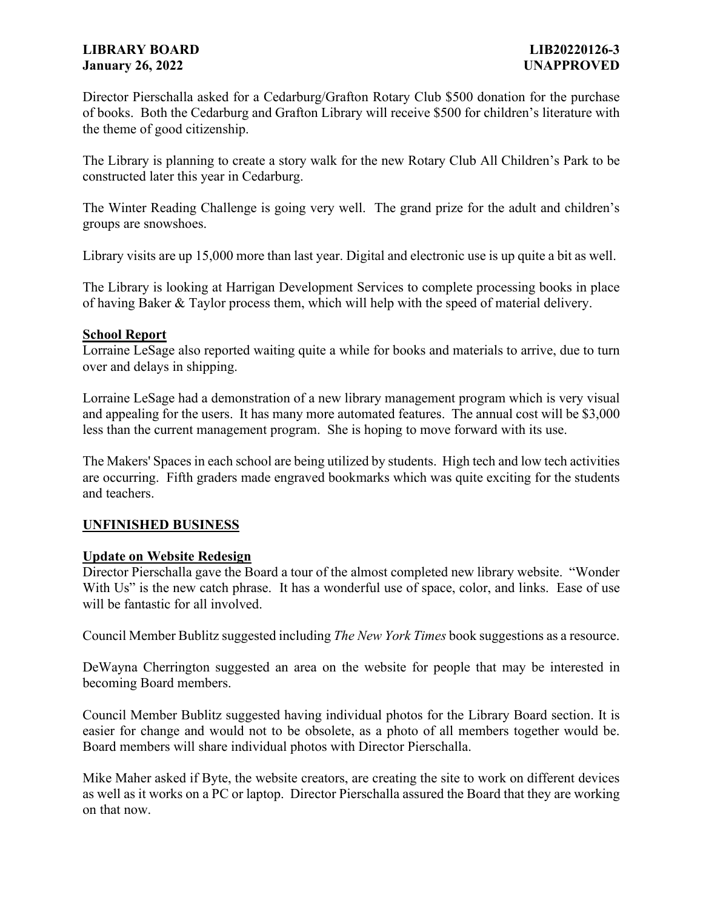## **LIBRARY BOARD LIB20220126-3 January 26, 2022 UNAPPROVED**

Director Pierschalla asked for a Cedarburg/Grafton Rotary Club \$500 donation for the purchase of books. Both the Cedarburg and Grafton Library will receive \$500 for children's literature with the theme of good citizenship.

The Library is planning to create a story walk for the new Rotary Club All Children's Park to be constructed later this year in Cedarburg.

The Winter Reading Challenge is going very well. The grand prize for the adult and children's groups are snowshoes.

Library visits are up 15,000 more than last year. Digital and electronic use is up quite a bit as well.

The Library is looking at Harrigan Development Services to complete processing books in place of having Baker & Taylor process them, which will help with the speed of material delivery.

### **School Report**

Lorraine LeSage also reported waiting quite a while for books and materials to arrive, due to turn over and delays in shipping.

Lorraine LeSage had a demonstration of a new library management program which is very visual and appealing for the users. It has many more automated features. The annual cost will be \$3,000 less than the current management program. She is hoping to move forward with its use.

The Makers' Spaces in each school are being utilized by students. High tech and low tech activities are occurring. Fifth graders made engraved bookmarks which was quite exciting for the students and teachers.

# **UNFINISHED BUSINESS**

### **Update on Website Redesign**

Director Pierschalla gave the Board a tour of the almost completed new library website. "Wonder With Us" is the new catch phrase. It has a wonderful use of space, color, and links. Ease of use will be fantastic for all involved.

Council Member Bublitz suggested including *The New York Times* book suggestions as a resource.

DeWayna Cherrington suggested an area on the website for people that may be interested in becoming Board members.

Council Member Bublitz suggested having individual photos for the Library Board section. It is easier for change and would not to be obsolete, as a photo of all members together would be. Board members will share individual photos with Director Pierschalla.

Mike Maher asked if Byte, the website creators, are creating the site to work on different devices as well as it works on a PC or laptop. Director Pierschalla assured the Board that they are working on that now.